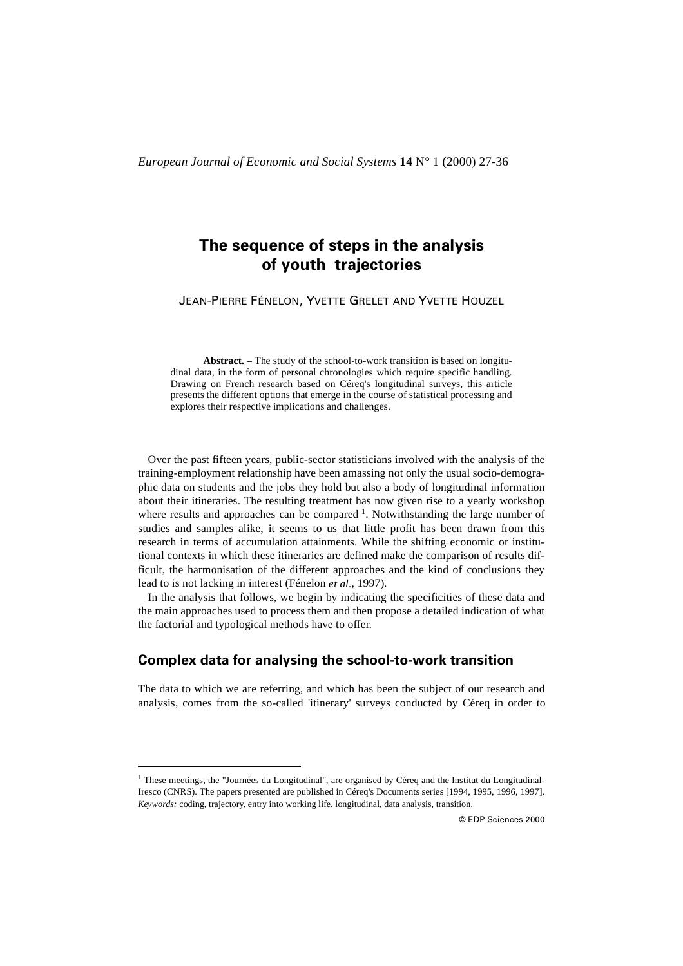# **The sequence of steps in the analysis of youth trajectories**

JEAN-PIERRE FÉNELON, YVETTE GRELET AND YVETTE HOUZEL

**Abstract. –** The study of the school-to-work transition is based on longitudinal data, in the form of personal chronologies which require specific handling. Drawing on French research based on Céreq's longitudinal surveys, this article presents the different options that emerge in the course of statistical processing and explores their respective implications and challenges.

Over the past fifteen years, public-sector statisticians involved with the analysis of the training-employment relationship have been amassing not only the usual socio-demographic data on students and the jobs they hold but also a body of longitudinal information about their itineraries. The resulting treatment has now given rise to a yearly workshop where results and approaches can be compared  $<sup>1</sup>$ . Notwithstanding the large number of</sup> studies and samples alike, it seems to us that little profit has been drawn from this research in terms of accumulation attainments. While the shifting economic or institutional contexts in which these itineraries are defined make the comparison of results difficult, the harmonisation of the different approaches and the kind of conclusions they lead to is not lacking in interest (Fénelon *et al.*, 1997).

In the analysis that follows, we begin by indicating the specificities of these data and the main approaches used to process them and then propose a detailed indication of what the factorial and typological methods have to offer.

## **Complex data for analysing the school-to-work transition**

The data to which we are referring, and which has been the subject of our research and analysis, comes from the so-called 'itinerary' surveys conducted by Céreq in order to

 $<sup>1</sup>$  These meetings, the "Journées du Longitudinal", are organised by Céreq and the Institut du Longitudinal-</sup> Iresco (CNRS). The papers presented are published in Céreq's Documents series [1994, 1995, 1996, 1997]. *Keywords:* coding, trajectory, entry into working life, longitudinal, data analysis, transition.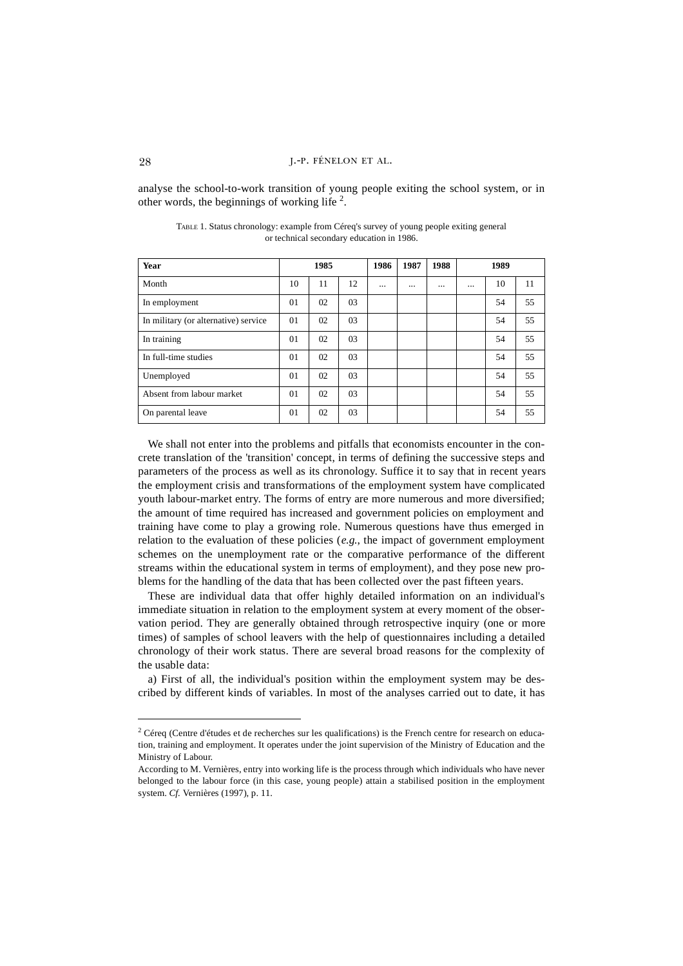analyse the school-to-work transition of young people exiting the school system, or in other words, the beginnings of working life  $2$ .

| Year                                 | 1985 |    | 1986 | 1987     | 1988     | 1989     |          |    |    |
|--------------------------------------|------|----|------|----------|----------|----------|----------|----|----|
| Month                                | 10   | 11 | 12   | $\cdots$ | $\cdots$ | $\cdots$ | $\cdots$ | 10 | 11 |
| In employment                        | 01   | 02 | 03   |          |          |          |          | 54 | 55 |
| In military (or alternative) service | 01   | 02 | 03   |          |          |          |          | 54 | 55 |
| In training                          | 01   | 02 | 03   |          |          |          |          | 54 | 55 |
| In full-time studies                 | 01   | 02 | 03   |          |          |          |          | 54 | 55 |
| Unemployed                           | 01   | 02 | 03   |          |          |          |          | 54 | 55 |
| Absent from labour market            | 01   | 02 | 03   |          |          |          |          | 54 | 55 |
| On parental leave                    | 01   | 02 | 03   |          |          |          |          | 54 | 55 |

TABLE 1. Status chronology: example from Céreq's survey of young people exiting general or technical secondary education in 1986.

We shall not enter into the problems and pitfalls that economists encounter in the concrete translation of the 'transition' concept, in terms of defining the successive steps and parameters of the process as well as its chronology. Suffice it to say that in recent years the employment crisis and transformations of the employment system have complicated youth labour-market entry. The forms of entry are more numerous and more diversified; the amount of time required has increased and government policies on employment and training have come to play a growing role. Numerous questions have thus emerged in relation to the evaluation of these policies (*e.g.*, the impact of government employment schemes on the unemployment rate or the comparative performance of the different streams within the educational system in terms of employment), and they pose new problems for the handling of the data that has been collected over the past fifteen years.

These are individual data that offer highly detailed information on an individual's immediate situation in relation to the employment system at every moment of the observation period. They are generally obtained through retrospective inquiry (one or more times) of samples of school leavers with the help of questionnaires including a detailed chronology of their work status. There are several broad reasons for the complexity of the usable data:

a) First of all, the individual's position within the employment system may be described by different kinds of variables. In most of the analyses carried out to date, it has

 $2$  Céreq (Centre d'études et de recherches sur les qualifications) is the French centre for research on education, training and employment. It operates under the joint supervision of the Ministry of Education and the Ministry of Labour.

According to M. Vernières, entry into working life is the process through which individuals who have never belonged to the labour force (in this case, young people) attain a stabilised position in the employment system. *Cf.* Vernières (1997), p. 11.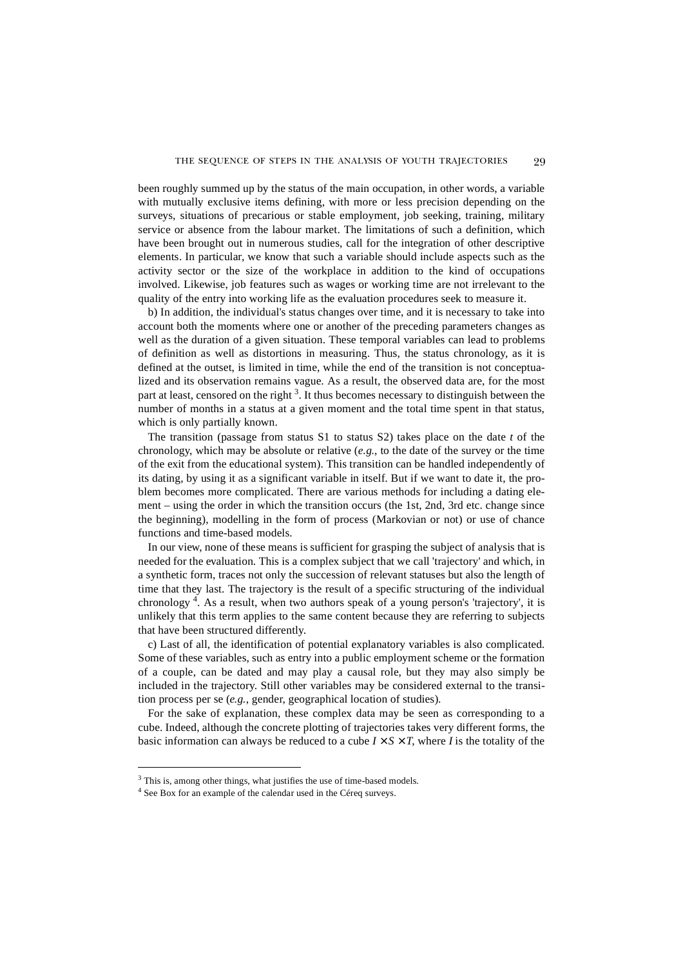been roughly summed up by the status of the main occupation, in other words, a variable with mutually exclusive items defining, with more or less precision depending on the surveys, situations of precarious or stable employment, job seeking, training, military service or absence from the labour market. The limitations of such a definition, which have been brought out in numerous studies, call for the integration of other descriptive elements. In particular, we know that such a variable should include aspects such as the activity sector or the size of the workplace in addition to the kind of occupations involved. Likewise, job features such as wages or working time are not irrelevant to the quality of the entry into working life as the evaluation procedures seek to measure it.

b) In addition, the individual's status changes over time, and it is necessary to take into account both the moments where one or another of the preceding parameters changes as well as the duration of a given situation. These temporal variables can lead to problems of definition as well as distortions in measuring. Thus, the status chronology, as it is defined at the outset, is limited in time, while the end of the transition is not conceptualized and its observation remains vague. As a result, the observed data are, for the most part at least, censored on the right<sup>3</sup>. It thus becomes necessary to distinguish between the number of months in a status at a given moment and the total time spent in that status, which is only partially known.

The transition (passage from status S1 to status S2) takes place on the date *t* of the chronology, which may be absolute or relative (*e.g.*, to the date of the survey or the time of the exit from the educational system). This transition can be handled independently of its dating, by using it as a significant variable in itself. But if we want to date it, the problem becomes more complicated. There are various methods for including a dating element – using the order in which the transition occurs (the 1st, 2nd, 3rd etc. change since the beginning), modelling in the form of process (Markovian or not) or use of chance functions and time-based models.

In our view, none of these means is sufficient for grasping the subject of analysis that is needed for the evaluation. This is a complex subject that we call 'trajectory' and which, in a synthetic form, traces not only the succession of relevant statuses but also the length of time that they last. The trajectory is the result of a specific structuring of the individual chronology <sup>4</sup> . As a result, when two authors speak of a young person's 'trajectory', it is unlikely that this term applies to the same content because they are referring to subjects that have been structured differently.

c) Last of all, the identification of potential explanatory variables is also complicated. Some of these variables, such as entry into a public employment scheme or the formation of a couple, can be dated and may play a causal role, but they may also simply be included in the trajectory. Still other variables may be considered external to the transition process per se (*e.g.*, gender, geographical location of studies).

For the sake of explanation, these complex data may be seen as corresponding to a cube. Indeed, although the concrete plotting of trajectories takes very different forms, the basic information can always be reduced to a cube  $I \times S \times T$ , where *I* is the totality of the

<sup>&</sup>lt;sup>3</sup> This is, among other things, what justifies the use of time-based models.

<sup>&</sup>lt;sup>4</sup> See Box for an example of the calendar used in the Céreq surveys.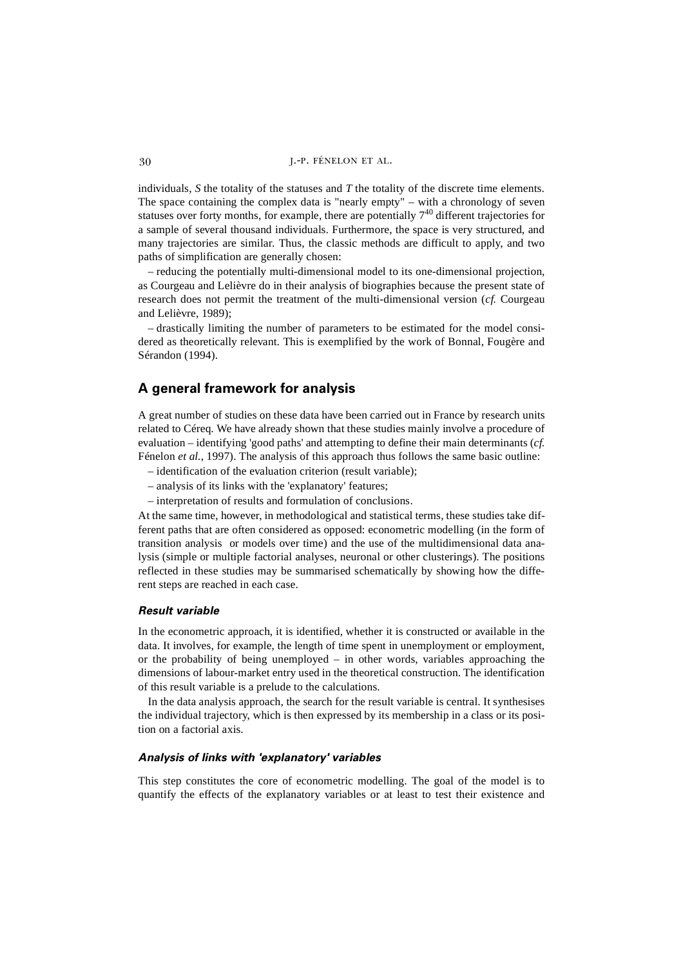individuals, *S* the totality of the statuses and *T* the totality of the discrete time elements. The space containing the complex data is "nearly empty" – with a chronology of seven statuses over forty months, for example, there are potentially  $7<sup>40</sup>$  different trajectories for a sample of several thousand individuals. Furthermore, the space is very structured, and many trajectories are similar. Thus, the classic methods are difficult to apply, and two paths of simplification are generally chosen:

– reducing the potentially multi-dimensional model to its one-dimensional projection, as Courgeau and Lelièvre do in their analysis of biographies because the present state of research does not permit the treatment of the multi-dimensional version (*cf.* Courgeau and Lelièvre, 1989);

– drastically limiting the number of parameters to be estimated for the model considered as theoretically relevant. This is exemplified by the work of Bonnal, Fougère and Sérandon (1994).

## **A general framework for analysis**

A great number of studies on these data have been carried out in France by research units related to Céreq. We have already shown that these studies mainly involve a procedure of evaluation – identifying 'good paths' and attempting to define their main determinants (*cf.* Fénelon *et al.*, 1997). The analysis of this approach thus follows the same basic outline:

- identification of the evaluation criterion (result variable);
- analysis of its links with the 'explanatory' features;
- interpretation of results and formulation of conclusions.

At the same time, however, in methodological and statistical terms, these studies take different paths that are often considered as opposed: econometric modelling (in the form of transition analysis or models over time) and the use of the multidimensional data analysis (simple or multiple factorial analyses, neuronal or other clusterings). The positions reflected in these studies may be summarised schematically by showing how the different steps are reached in each case.

## *Result variable*

In the econometric approach, it is identified, whether it is constructed or available in the data. It involves, for example, the length of time spent in unemployment or employment, or the probability of being unemployed  $-$  in other words, variables approaching the dimensions of labour-market entry used in the theoretical construction. The identification of this result variable is a prelude to the calculations.

In the data analysis approach, the search for the result variable is central. It synthesises the individual trajectory, which is then expressed by its membership in a class or its position on a factorial axis.

## *Analysis of links with 'explanatory' variables*

This step constitutes the core of econometric modelling. The goal of the model is to quantify the effects of the explanatory variables or at least to test their existence and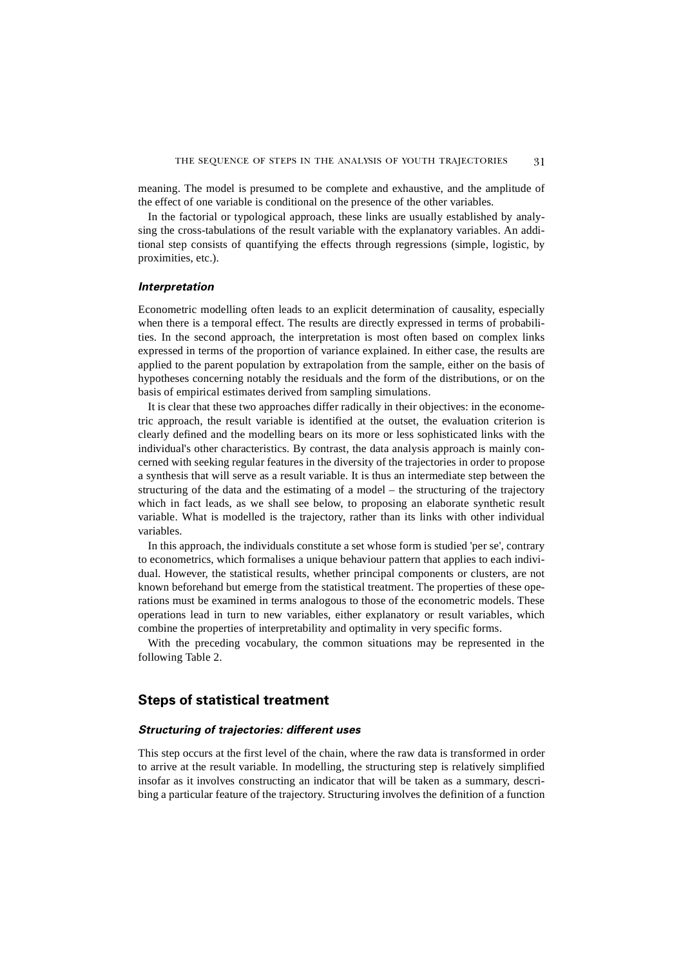meaning. The model is presumed to be complete and exhaustive, and the amplitude of the effect of one variable is conditional on the presence of the other variables.

In the factorial or typological approach, these links are usually established by analysing the cross-tabulations of the result variable with the explanatory variables. An additional step consists of quantifying the effects through regressions (simple, logistic, by proximities, etc.).

## *Interpretation*

Econometric modelling often leads to an explicit determination of causality, especially when there is a temporal effect. The results are directly expressed in terms of probabilities. In the second approach, the interpretation is most often based on complex links expressed in terms of the proportion of variance explained. In either case, the results are applied to the parent population by extrapolation from the sample, either on the basis of hypotheses concerning notably the residuals and the form of the distributions, or on the basis of empirical estimates derived from sampling simulations.

It is clear that these two approaches differ radically in their objectives: in the econometric approach, the result variable is identified at the outset, the evaluation criterion is clearly defined and the modelling bears on its more or less sophisticated links with the individual's other characteristics. By contrast, the data analysis approach is mainly concerned with seeking regular features in the diversity of the trajectories in order to propose a synthesis that will serve as a result variable. It is thus an intermediate step between the structuring of the data and the estimating of a model – the structuring of the trajectory which in fact leads, as we shall see below, to proposing an elaborate synthetic result variable. What is modelled is the trajectory, rather than its links with other individual variables.

In this approach, the individuals constitute a set whose form is studied 'per se', contrary to econometrics, which formalises a unique behaviour pattern that applies to each individual. However, the statistical results, whether principal components or clusters, are not known beforehand but emerge from the statistical treatment. The properties of these operations must be examined in terms analogous to those of the econometric models. These operations lead in turn to new variables, either explanatory or result variables, which combine the properties of interpretability and optimality in very specific forms.

With the preceding vocabulary, the common situations may be represented in the following Table 2.

## **Steps of statistical treatment**

## *Structuring of trajectories: different uses*

This step occurs at the first level of the chain, where the raw data is transformed in order to arrive at the result variable. In modelling, the structuring step is relatively simplified insofar as it involves constructing an indicator that will be taken as a summary, describing a particular feature of the trajectory. Structuring involves the definition of a function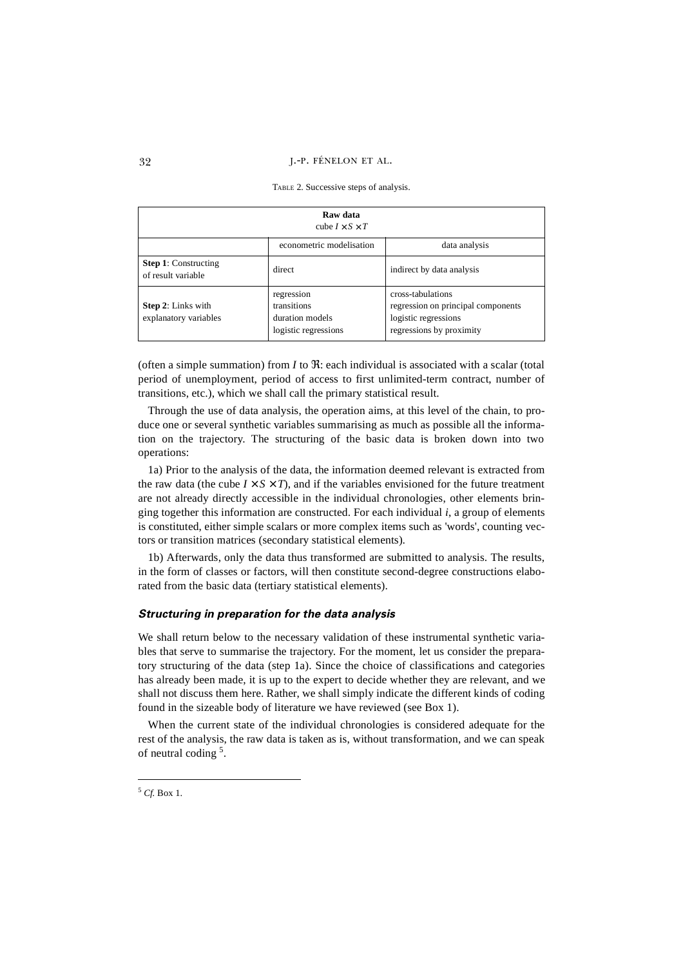#### 32 J.-P. FÉNELON ET AL.

| Raw data<br>cube $I \times S \times T$             |                                                                      |                                                                                                             |  |  |  |  |
|----------------------------------------------------|----------------------------------------------------------------------|-------------------------------------------------------------------------------------------------------------|--|--|--|--|
|                                                    | econometric modelisation                                             | data analysis                                                                                               |  |  |  |  |
| <b>Step 1:</b> Constructing<br>of result variable  | direct                                                               | indirect by data analysis                                                                                   |  |  |  |  |
| <b>Step 2:</b> Links with<br>explanatory variables | regression<br>transitions<br>duration models<br>logistic regressions | cross-tabulations<br>regression on principal components<br>logistic regressions<br>regressions by proximity |  |  |  |  |

TABLE 2. Successive steps of analysis.

(often a simple summation) from *I* to  $\Re$ : each individual is associated with a scalar (total period of unemployment, period of access to first unlimited-term contract, number of transitions, etc.), which we shall call the primary statistical result.

Through the use of data analysis, the operation aims, at this level of the chain, to produce one or several synthetic variables summarising as much as possible all the information on the trajectory. The structuring of the basic data is broken down into two operations:

1a) Prior to the analysis of the data, the information deemed relevant is extracted from the raw data (the cube  $I \times S \times T$ ), and if the variables envisioned for the future treatment are not already directly accessible in the individual chronologies, other elements bringing together this information are constructed. For each individual *i*, a group of elements is constituted, either simple scalars or more complex items such as 'words', counting vectors or transition matrices (secondary statistical elements).

1b) Afterwards, only the data thus transformed are submitted to analysis. The results, in the form of classes or factors, will then constitute second-degree constructions elaborated from the basic data (tertiary statistical elements).

### *Structuring in preparation for the data analysis*

We shall return below to the necessary validation of these instrumental synthetic variables that serve to summarise the trajectory. For the moment, let us consider the preparatory structuring of the data (step 1a). Since the choice of classifications and categories has already been made, it is up to the expert to decide whether they are relevant, and we shall not discuss them here. Rather, we shall simply indicate the different kinds of coding found in the sizeable body of literature we have reviewed (see Box 1).

When the current state of the individual chronologies is considered adequate for the rest of the analysis, the raw data is taken as is, without transformation, and we can speak of neutral coding<sup>5</sup>.

<sup>5</sup> *Cf.* Box 1.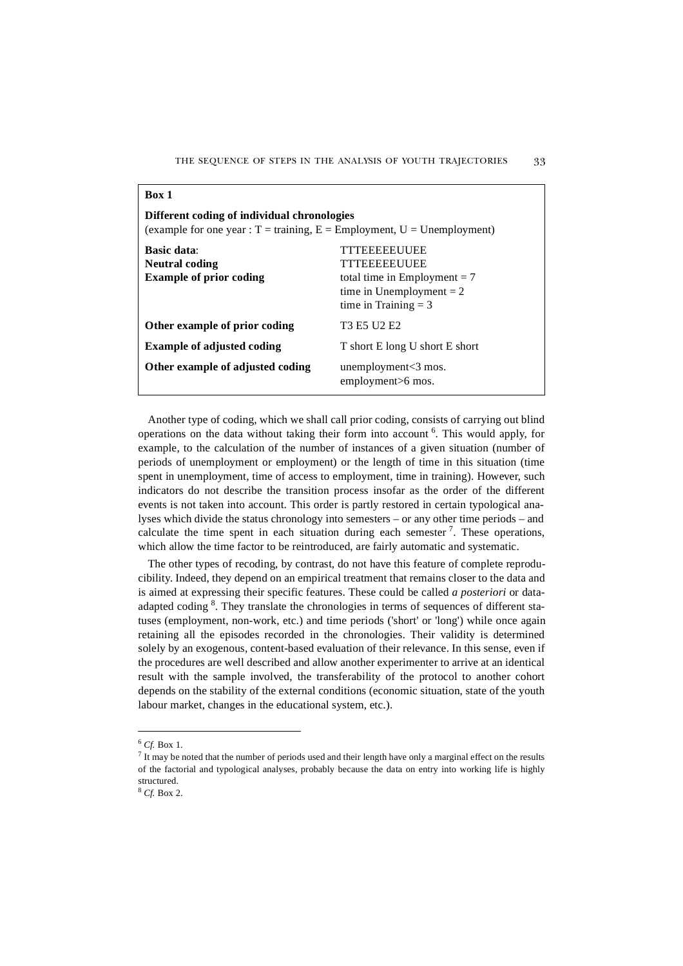| Different coding of individual chronologies<br>(example for one year: $T = \text{training}, E = \text{Employment}, U = \text{Unemboyment}$ ) |                                                                                                                               |  |  |  |  |
|----------------------------------------------------------------------------------------------------------------------------------------------|-------------------------------------------------------------------------------------------------------------------------------|--|--|--|--|
| <b>Basic data:</b><br><b>Neutral coding</b><br><b>Example of prior coding</b>                                                                | <b>TTTEEEEEUUEE</b><br>TTTEEEEEUUEE<br>total time in Employment $= 7$<br>time in Unemployment $= 2$<br>time in Training $=$ 3 |  |  |  |  |
| Other example of prior coding                                                                                                                | T <sub>3</sub> E <sub>5</sub> U <sub>2</sub> E <sub>2</sub>                                                                   |  |  |  |  |
| <b>Example of adjusted coding</b>                                                                                                            | T short E long U short E short                                                                                                |  |  |  |  |
| Other example of adjusted coding                                                                                                             | unemployment $<$ 3 mos.<br>employment>6 mos.                                                                                  |  |  |  |  |

Another type of coding, which we shall call prior coding, consists of carrying out blind operations on the data without taking their form into account <sup>6</sup>. This would apply, for example, to the calculation of the number of instances of a given situation (number of periods of unemployment or employment) or the length of time in this situation (time spent in unemployment, time of access to employment, time in training). However, such indicators do not describe the transition process insofar as the order of the different events is not taken into account. This order is partly restored in certain typological analyses which divide the status chronology into semesters – or any other time periods – and calculate the time spent in each situation during each semester<sup>7</sup>. These operations, which allow the time factor to be reintroduced, are fairly automatic and systematic.

The other types of recoding, by contrast, do not have this feature of complete reproducibility. Indeed, they depend on an empirical treatment that remains closer to the data and is aimed at expressing their specific features. These could be called *a posteriori* or dataadapted coding <sup>8</sup>. They translate the chronologies in terms of sequences of different statuses (employment, non-work, etc.) and time periods ('short' or 'long') while once again retaining all the episodes recorded in the chronologies. Their validity is determined solely by an exogenous, content-based evaluation of their relevance. In this sense, even if the procedures are well described and allow another experimenter to arrive at an identical result with the sample involved, the transferability of the protocol to another cohort depends on the stability of the external conditions (economic situation, state of the youth labour market, changes in the educational system, etc.).

**Box 1**

 $6$  Cf. Box 1.

 $<sup>7</sup>$  It may be noted that the number of periods used and their length have only a marginal effect on the results</sup> of the factorial and typological analyses, probably because the data on entry into working life is highly structured.

<sup>8</sup> *Cf.* Box 2.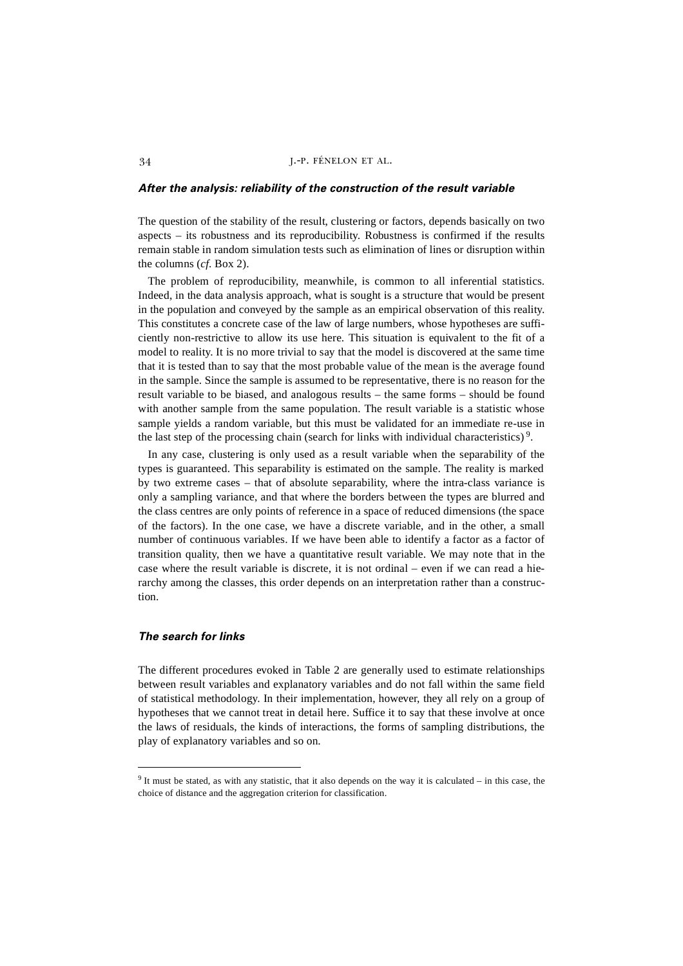## *After the analysis: reliability of the construction of the result variable*

The question of the stability of the result, clustering or factors, depends basically on two aspects – its robustness and its reproducibility. Robustness is confirmed if the results remain stable in random simulation tests such as elimination of lines or disruption within the columns (*cf*. Box 2).

The problem of reproducibility, meanwhile, is common to all inferential statistics. Indeed, in the data analysis approach, what is sought is a structure that would be present in the population and conveyed by the sample as an empirical observation of this reality. This constitutes a concrete case of the law of large numbers, whose hypotheses are sufficiently non-restrictive to allow its use here. This situation is equivalent to the fit of a model to reality. It is no more trivial to say that the model is discovered at the same time that it is tested than to say that the most probable value of the mean is the average found in the sample. Since the sample is assumed to be representative, there is no reason for the result variable to be biased, and analogous results – the same forms – should be found with another sample from the same population. The result variable is a statistic whose sample yields a random variable, but this must be validated for an immediate re-use in the last step of the processing chain (search for links with individual characteristics)<sup>9</sup>.

In any case, clustering is only used as a result variable when the separability of the types is guaranteed. This separability is estimated on the sample. The reality is marked by two extreme cases – that of absolute separability, where the intra-class variance is only a sampling variance, and that where the borders between the types are blurred and the class centres are only points of reference in a space of reduced dimensions (the space of the factors). In the one case, we have a discrete variable, and in the other, a small number of continuous variables. If we have been able to identify a factor as a factor of transition quality, then we have a quantitative result variable. We may note that in the case where the result variable is discrete, it is not ordinal – even if we can read a hierarchy among the classes, this order depends on an interpretation rather than a construction.

## *The search for links*

The different procedures evoked in Table 2 are generally used to estimate relationships between result variables and explanatory variables and do not fall within the same field of statistical methodology. In their implementation, however, they all rely on a group of hypotheses that we cannot treat in detail here. Suffice it to say that these involve at once the laws of residuals, the kinds of interactions, the forms of sampling distributions, the play of explanatory variables and so on.

<sup>9</sup> It must be stated, as with any statistic, that it also depends on the way it is calculated – in this case, the choice of distance and the aggregation criterion for classification.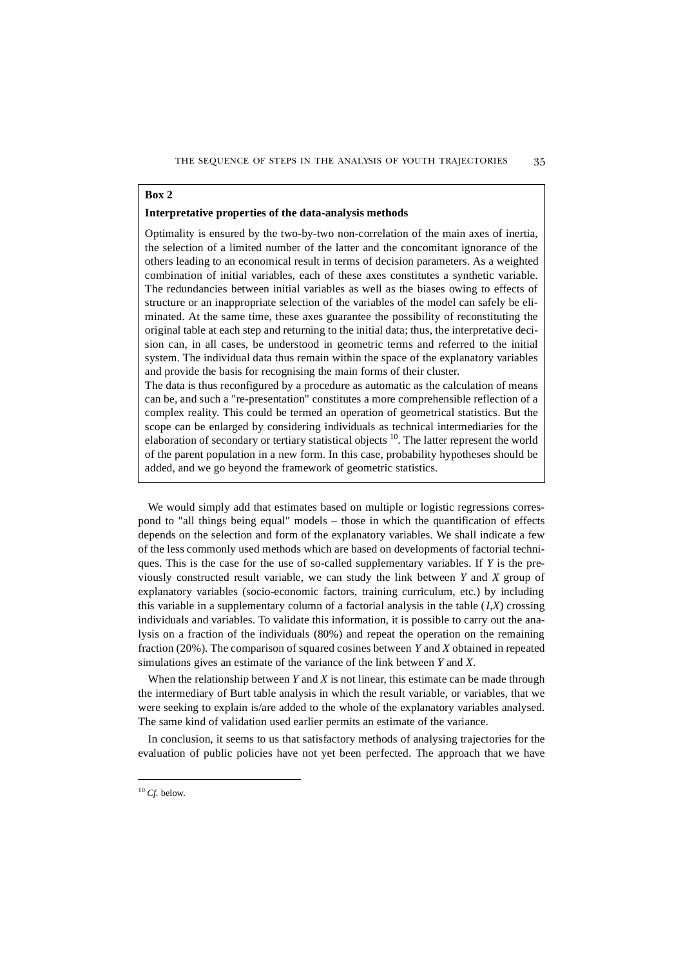## **Box 2**

### **Interpretative properties of the data-analysis methods**

Optimality is ensured by the two-by-two non-correlation of the main axes of inertia, the selection of a limited number of the latter and the concomitant ignorance of the others leading to an economical result in terms of decision parameters. As a weighted combination of initial variables, each of these axes constitutes a synthetic variable. The redundancies between initial variables as well as the biases owing to effects of structure or an inappropriate selection of the variables of the model can safely be eliminated. At the same time, these axes guarantee the possibility of reconstituting the original table at each step and returning to the initial data; thus, the interpretative decision can, in all cases, be understood in geometric terms and referred to the initial system. The individual data thus remain within the space of the explanatory variables and provide the basis for recognising the main forms of their cluster.

The data is thus reconfigured by a procedure as automatic as the calculation of means can be, and such a "re-presentation" constitutes a more comprehensible reflection of a complex reality. This could be termed an operation of geometrical statistics. But the scope can be enlarged by considering individuals as technical intermediaries for the elaboration of secondary or tertiary statistical objects <sup>10</sup>. The latter represent the world of the parent population in a new form. In this case, probability hypotheses should be added, and we go beyond the framework of geometric statistics.

We would simply add that estimates based on multiple or logistic regressions correspond to "all things being equal" models – those in which the quantification of effects depends on the selection and form of the explanatory variables. We shall indicate a few of the less commonly used methods which are based on developments of factorial techniques. This is the case for the use of so-called supplementary variables. If *Y* is the previously constructed result variable, we can study the link between *Y* and *X* group of explanatory variables (socio-economic factors, training curriculum, etc.) by including this variable in a supplementary column of a factorial analysis in the table  $(I,X)$  crossing individuals and variables. To validate this information, it is possible to carry out the analysis on a fraction of the individuals (80%) and repeat the operation on the remaining fraction (20%). The comparison of squared cosines between *Y* and *X* obtained in repeated simulations gives an estimate of the variance of the link between *Y* and *X*.

When the relationship between *Y* and *X* is not linear, this estimate can be made through the intermediary of Burt table analysis in which the result variable, or variables, that we were seeking to explain is/are added to the whole of the explanatory variables analysed. The same kind of validation used earlier permits an estimate of the variance.

In conclusion, it seems to us that satisfactory methods of analysing trajectories for the evaluation of public policies have not yet been perfected. The approach that we have

 $10$  *Cf.* below.